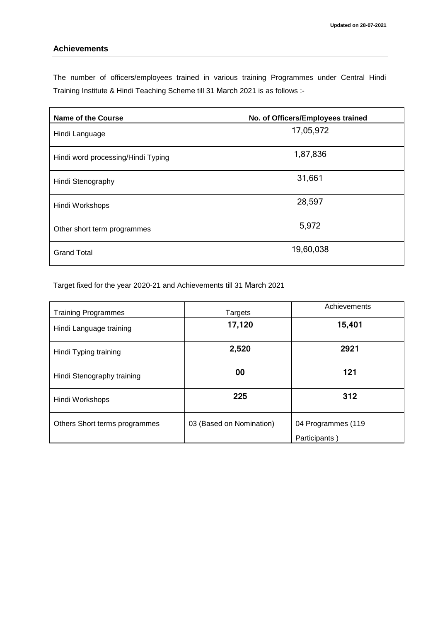## **Achievements**

The number of officers/employees trained in various training Programmes under Central Hindi Training Institute & Hindi Teaching Scheme till 31 March 2021 is as follows :-

| <b>Name of the Course</b>          | No. of Officers/Employees trained |
|------------------------------------|-----------------------------------|
| Hindi Language                     | 17,05,972                         |
| Hindi word processing/Hindi Typing | 1,87,836                          |
| Hindi Stenography                  | 31,661                            |
| Hindi Workshops                    | 28,597                            |
| Other short term programmes        | 5,972                             |
| <b>Grand Total</b>                 | 19,60,038                         |

Target fixed for the year 2020-21 and Achievements till 31 March 2021

| <b>Training Programmes</b>    | Targets                  | Achievements       |
|-------------------------------|--------------------------|--------------------|
| Hindi Language training       | 17,120                   | 15,401             |
| Hindi Typing training         | 2,520                    | 2921               |
| Hindi Stenography training    | 00                       | 121                |
| Hindi Workshops               | 225                      | 312                |
| Others Short terms programmes | 03 (Based on Nomination) | 04 Programmes (119 |
|                               |                          | Participants)      |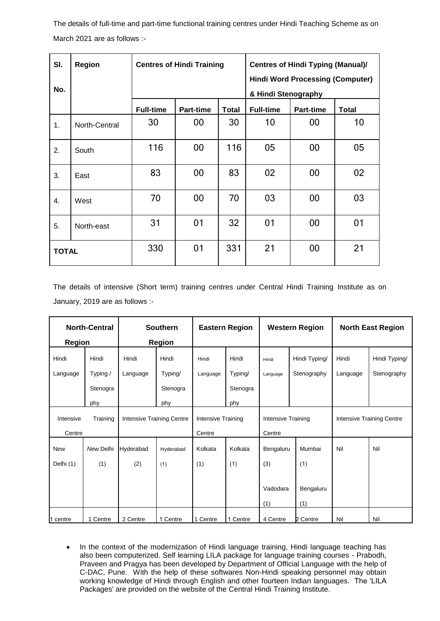The details of full-time and part-time functional training centres under Hindi Teaching Scheme as on March 2021 are as follows :-

| SI.              | Region        |                                                                | <b>Centres of Hindi Training</b> |              | <b>Centres of Hindi Typing (Manual)/</b> |                  |              |  |
|------------------|---------------|----------------------------------------------------------------|----------------------------------|--------------|------------------------------------------|------------------|--------------|--|
| No.              |               | <b>Hindi Word Processing (Computer)</b><br>& Hindi Stenography |                                  |              |                                          |                  |              |  |
|                  |               | <b>Full-time</b>                                               | <b>Part-time</b>                 | <b>Total</b> | <b>Full-time</b>                         | <b>Part-time</b> | <b>Total</b> |  |
| 1.               | North-Central | 30                                                             | 00                               | 30           | 10                                       | 00               | 10           |  |
| 2.               | South         | 116                                                            | 00                               | 116          | 05                                       | 00               | 05           |  |
| 3.               | East          | 83                                                             | 00                               | 83           | 02                                       | 00               | 02           |  |
| $\overline{4}$ . | West          | 70                                                             | 00                               | 70           | 03                                       | 00               | 03           |  |
| 5.               | North-east    | 31                                                             | 01                               | 32           | 01                                       | 00               | 01           |  |
| <b>TOTAL</b>     |               | 330                                                            | 01                               | 331          | 21                                       | 00               | 21           |  |

The details of intensive (Short term) training centres under Central Hindi Training Institute as on January, 2019 are as follows :-

| <b>North-Central</b>  |           | <b>Southern</b>                  |           | <b>Eastern Region</b> |          | <b>Western Region</b> |               | <b>North East Region</b>         |               |
|-----------------------|-----------|----------------------------------|-----------|-----------------------|----------|-----------------------|---------------|----------------------------------|---------------|
| <b>Region</b>         |           | <b>Region</b>                    |           |                       |          |                       |               |                                  |               |
| Hindi                 | Hindi     | Hindi                            | Hindi     | Hindi                 | Hindi    | Hindi                 | Hindi Typing/ | Hindi                            | Hindi Typing/ |
| Language              | Typing /  | Language                         | Typing/   | Language              | Typing/  | Language              | Stenography   | Language                         | Stenography   |
|                       | Stenogra  |                                  | Stenogra  |                       | Stenogra |                       |               |                                  |               |
|                       | phy       |                                  | phy       |                       | phy      |                       |               |                                  |               |
| Training<br>Intensive |           | <b>Intensive Training Centre</b> |           | Intensive Training    |          | Intensive Training    |               | <b>Intensive Training Centre</b> |               |
| Centre                |           |                                  |           | Centre                |          | Centre                |               |                                  |               |
| <b>New</b>            | New Delhi | Hyderabad                        | Hyderabad | Kolkata               | Kolkata  | Bengaluru             | Mumbai        | Nil                              | Nil           |
| Delhi (1)             | (1)       | (2)                              | (1)       | (1)                   | (1)      | (3)                   | (1)           |                                  |               |
|                       |           |                                  |           |                       |          |                       |               |                                  |               |
|                       |           |                                  |           |                       |          | Vadodara              | Bengaluru     |                                  |               |
|                       |           |                                  |           |                       |          | (1)                   | (1)           |                                  |               |
| 1 centre              | 1 Centre  | 2 Centre                         | 1 Centre  | 1 Centre              | 1 Centre | 4 Centre              | 2 Centre      | Nil                              | Nil           |

• In the context of the modernization of Hindi language training, Hindi language teaching has also been computerized. Self learning LILA package for language training courses - Prabodh, Praveen and Pragya has been developed by Department of Official Language with the help of C-DAC, Pune. With the help of these softwares Non-Hindi speaking personnel may obtain working knowledge of Hindi through English and other fourteen Indian languages. The 'LILA Packages' are provided on the website of the Central Hindi Training Institute.